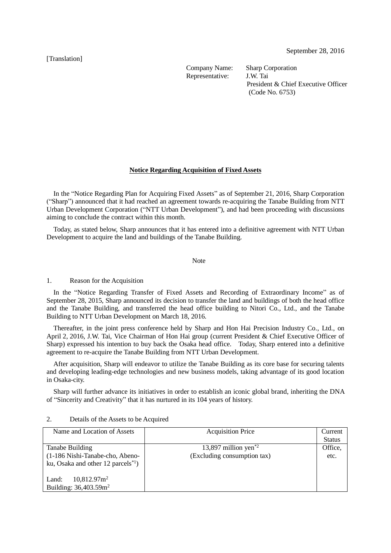[Translation]

Company Name: Sharp Corporation Representative: J.W. Tai

President & Chief Executive Officer (Code No. 6753)

## **Notice Regarding Acquisition of Fixed Assets**

In the "Notice Regarding Plan for Acquiring Fixed Assets" as of September 21, 2016, Sharp Corporation ("Sharp") announced that it had reached an agreement towards re-acquiring the Tanabe Building from NTT Urban Development Corporation ("NTT Urban Development"), and had been proceeding with discussions aiming to conclude the contract within this month.

Today, as stated below, Sharp announces that it has entered into a definitive agreement with NTT Urban Development to acquire the land and buildings of the Tanabe Building.

Note

1. Reason for the Acquisition

In the "Notice Regarding Transfer of Fixed Assets and Recording of Extraordinary Income" as of September 28, 2015, Sharp announced its decision to transfer the land and buildings of both the head office and the Tanabe Building, and transferred the head office building to Nitori Co., Ltd., and the Tanabe Building to NTT Urban Development on March 18, 2016.

Thereafter, in the joint press conference held by Sharp and Hon Hai Precision Industry Co., Ltd., on April 2, 2016, J.W. Tai, Vice Chairman of Hon Hai group (current President & Chief Executive Officer of Sharp) expressed his intention to buy back the Osaka head office. Today, Sharp entered into a definitive agreement to re-acquire the Tanabe Building from NTT Urban Development.

After acquisition, Sharp will endeavor to utilize the Tanabe Building as its core base for securing talents and developing leading-edge technologies and new business models, taking advantage of its good location in Osaka-city.

Sharp will further advance its initiatives in order to establish an iconic global brand, inheriting the DNA of "Sincerity and Creativity" that it has nurtured in its 104 years of history.

| Name and Location of Assets           | <b>Acquisition Price</b>         | Current       |
|---------------------------------------|----------------------------------|---------------|
|                                       |                                  | <b>Status</b> |
| Tanabe Building                       | 13,897 million yen <sup>*2</sup> | Office,       |
| (1-186 Nishi-Tanabe-cho, Abeno-       | (Excluding consumption tax)      | etc.          |
| ku, Osaka and other 12 parcels $*1$ ) |                                  |               |
|                                       |                                  |               |
| $10,812.97m^2$<br>Land:               |                                  |               |
| Building: 36,403.59m <sup>2</sup>     |                                  |               |

## 2. Details of the Assets to be Acquired